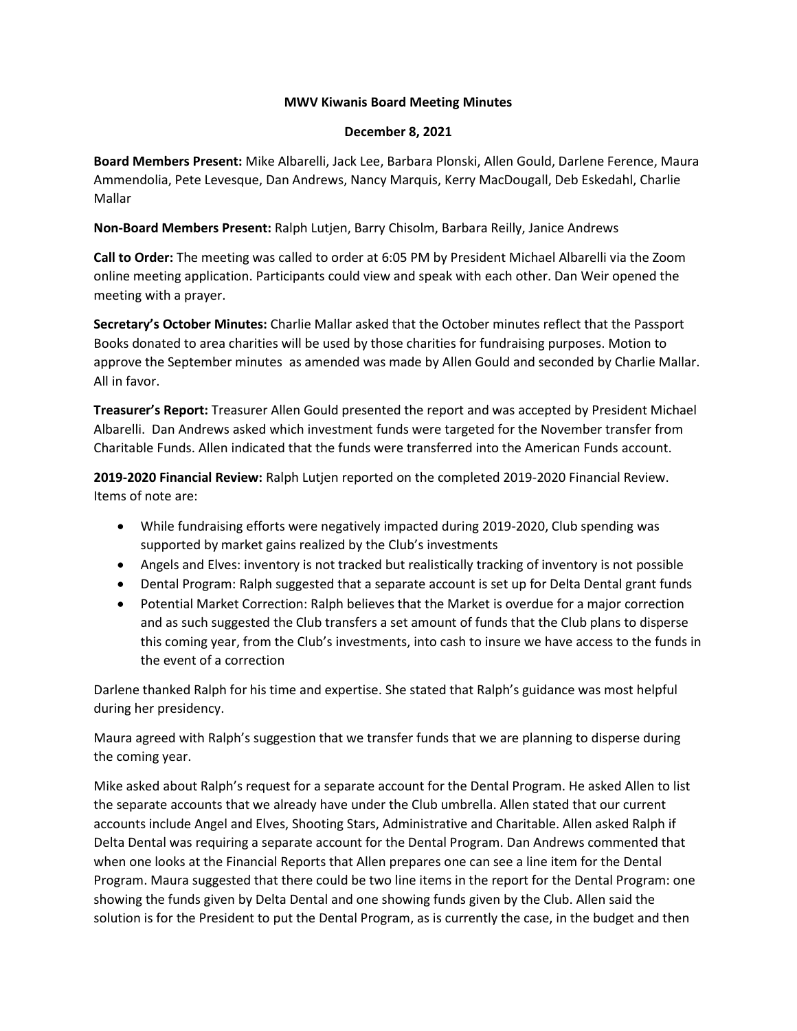# **MWV Kiwanis Board Meeting Minutes**

#### **December 8, 2021**

**Board Members Present:** Mike Albarelli, Jack Lee, Barbara Plonski, Allen Gould, Darlene Ference, Maura Ammendolia, Pete Levesque, Dan Andrews, Nancy Marquis, Kerry MacDougall, Deb Eskedahl, Charlie Mallar

**Non-Board Members Present:** Ralph Lutjen, Barry Chisolm, Barbara Reilly, Janice Andrews

**Call to Order:** The meeting was called to order at 6:05 PM by President Michael Albarelli via the Zoom online meeting application. Participants could view and speak with each other. Dan Weir opened the meeting with a prayer.

**Secretary's October Minutes:** Charlie Mallar asked that the October minutes reflect that the Passport Books donated to area charities will be used by those charities for fundraising purposes. Motion to approve the September minutes as amended was made by Allen Gould and seconded by Charlie Mallar. All in favor.

**Treasurer's Report:** Treasurer Allen Gould presented the report and was accepted by President Michael Albarelli. Dan Andrews asked which investment funds were targeted for the November transfer from Charitable Funds. Allen indicated that the funds were transferred into the American Funds account.

**2019-2020 Financial Review:** Ralph Lutjen reported on the completed 2019-2020 Financial Review. Items of note are:

- While fundraising efforts were negatively impacted during 2019-2020, Club spending was supported by market gains realized by the Club's investments
- Angels and Elves: inventory is not tracked but realistically tracking of inventory is not possible
- Dental Program: Ralph suggested that a separate account is set up for Delta Dental grant funds
- Potential Market Correction: Ralph believes that the Market is overdue for a major correction and as such suggested the Club transfers a set amount of funds that the Club plans to disperse this coming year, from the Club's investments, into cash to insure we have access to the funds in the event of a correction

Darlene thanked Ralph for his time and expertise. She stated that Ralph's guidance was most helpful during her presidency.

Maura agreed with Ralph's suggestion that we transfer funds that we are planning to disperse during the coming year.

Mike asked about Ralph's request for a separate account for the Dental Program. He asked Allen to list the separate accounts that we already have under the Club umbrella. Allen stated that our current accounts include Angel and Elves, Shooting Stars, Administrative and Charitable. Allen asked Ralph if Delta Dental was requiring a separate account for the Dental Program. Dan Andrews commented that when one looks at the Financial Reports that Allen prepares one can see a line item for the Dental Program. Maura suggested that there could be two line items in the report for the Dental Program: one showing the funds given by Delta Dental and one showing funds given by the Club. Allen said the solution is for the President to put the Dental Program, as is currently the case, in the budget and then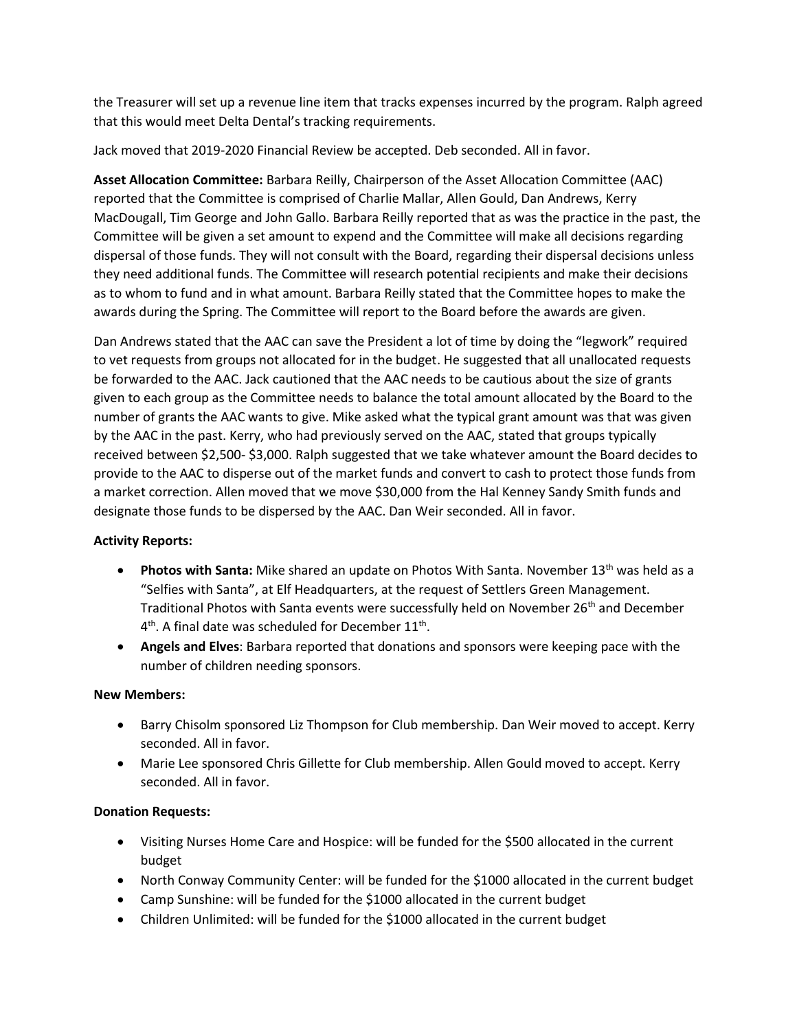the Treasurer will set up a revenue line item that tracks expenses incurred by the program. Ralph agreed that this would meet Delta Dental's tracking requirements.

Jack moved that 2019-2020 Financial Review be accepted. Deb seconded. All in favor.

**Asset Allocation Committee:** Barbara Reilly, Chairperson of the Asset Allocation Committee (AAC) reported that the Committee is comprised of Charlie Mallar, Allen Gould, Dan Andrews, Kerry MacDougall, Tim George and John Gallo. Barbara Reilly reported that as was the practice in the past, the Committee will be given a set amount to expend and the Committee will make all decisions regarding dispersal of those funds. They will not consult with the Board, regarding their dispersal decisions unless they need additional funds. The Committee will research potential recipients and make their decisions as to whom to fund and in what amount. Barbara Reilly stated that the Committee hopes to make the awards during the Spring. The Committee will report to the Board before the awards are given.

Dan Andrews stated that the AAC can save the President a lot of time by doing the "legwork" required to vet requests from groups not allocated for in the budget. He suggested that all unallocated requests be forwarded to the AAC. Jack cautioned that the AAC needs to be cautious about the size of grants given to each group as the Committee needs to balance the total amount allocated by the Board to the number of grants the AAC wants to give. Mike asked what the typical grant amount was that was given by the AAC in the past. Kerry, who had previously served on the AAC, stated that groups typically received between \$2,500- \$3,000. Ralph suggested that we take whatever amount the Board decides to provide to the AAC to disperse out of the market funds and convert to cash to protect those funds from a market correction. Allen moved that we move \$30,000 from the Hal Kenney Sandy Smith funds and designate those funds to be dispersed by the AAC. Dan Weir seconded. All in favor.

# **Activity Reports:**

- **Photos with Santa:** Mike shared an update on Photos With Santa. November 13<sup>th</sup> was held as a "Selfies with Santa", at Elf Headquarters, at the request of Settlers Green Management. Traditional Photos with Santa events were successfully held on November 26<sup>th</sup> and December  $4<sup>th</sup>$ . A final date was scheduled for December 11<sup>th</sup>.
- **Angels and Elves**: Barbara reported that donations and sponsors were keeping pace with the number of children needing sponsors.

# **New Members:**

- Barry Chisolm sponsored Liz Thompson for Club membership. Dan Weir moved to accept. Kerry seconded. All in favor.
- Marie Lee sponsored Chris Gillette for Club membership. Allen Gould moved to accept. Kerry seconded. All in favor.

# **Donation Requests:**

- Visiting Nurses Home Care and Hospice: will be funded for the \$500 allocated in the current budget
- North Conway Community Center: will be funded for the \$1000 allocated in the current budget
- Camp Sunshine: will be funded for the \$1000 allocated in the current budget
- Children Unlimited: will be funded for the \$1000 allocated in the current budget